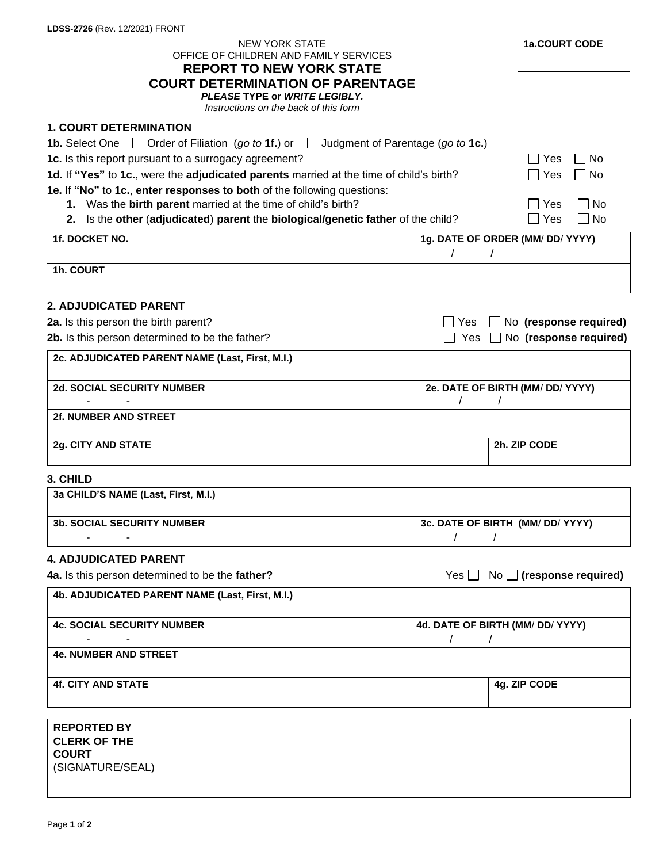| <b>NEW YORK STATE</b><br>OFFICE OF CHILDREN AND FAMILY SERVICES<br><b>REPORT TO NEW YORK STATE</b><br><b>COURT DETERMINATION OF PARENTAGE</b> |                                              | 1a.COURT CODE                            |
|-----------------------------------------------------------------------------------------------------------------------------------------------|----------------------------------------------|------------------------------------------|
| PLEASE TYPE or WRITE LEGIBLY.<br>Instructions on the back of this form                                                                        |                                              |                                          |
| <b>1. COURT DETERMINATION</b>                                                                                                                 |                                              |                                          |
| <b>1b.</b> Select One $\Box$ Order of Filiation (go to 1f.) or $\Box$ Judgment of Parentage (go to 1c.)                                       |                                              |                                          |
| 1c. Is this report pursuant to a surrogacy agreement?<br>$\sqcap$ No<br>∣ Yes                                                                 |                                              |                                          |
| 1d. If "Yes" to 1c., were the adjudicated parents married at the time of child's birth?<br>∣ Yes<br>l No                                      |                                              |                                          |
| 1e. If "No" to 1c., enter responses to both of the following questions:                                                                       |                                              |                                          |
| 1. Was the birth parent married at the time of child's birth?<br>$\Box$ No<br>$\exists$ Yes                                                   |                                              |                                          |
| 2. Is the other (adjudicated) parent the biological/genetic father of the child?<br>Yes<br>No<br>$\blacksquare$                               |                                              |                                          |
| 1f. DOCKET NO.                                                                                                                                |                                              | 1g. DATE OF ORDER (MM/ DD/ YYYY)         |
| 1h. COURT                                                                                                                                     |                                              |                                          |
| <b>2. ADJUDICATED PARENT</b>                                                                                                                  |                                              |                                          |
| 2a. Is this person the birth parent?                                                                                                          | ∏ Yes                                        | No (response required)<br>$\blacksquare$ |
| 2b. Is this person determined to be the father?                                                                                               | Yes                                          | No (response required)                   |
| 2c. ADJUDICATED PARENT NAME (Last, First, M.I.)                                                                                               |                                              |                                          |
| <b>2d. SOCIAL SECURITY NUMBER</b>                                                                                                             | 2e. DATE OF BIRTH (MM/ DD/ YYYY)             |                                          |
| 2f. NUMBER AND STREET                                                                                                                         |                                              |                                          |
| 2g. CITY AND STATE                                                                                                                            |                                              | 2h. ZIP CODE                             |
| 3. CHILD                                                                                                                                      |                                              |                                          |
| 3a CHILD'S NAME (Last, First, M.I.)                                                                                                           |                                              |                                          |
| <b>3b. SOCIAL SECURITY NUMBER</b>                                                                                                             |                                              | 3c. DATE OF BIRTH (MM/ DD/ YYYY)         |
|                                                                                                                                               |                                              |                                          |
| <b>4. ADJUDICATED PARENT</b>                                                                                                                  |                                              |                                          |
| Yes $\Box$ No $\Box$ (response required)<br>4a. Is this person determined to be the father?                                                   |                                              |                                          |
| 4b. ADJUDICATED PARENT NAME (Last, First, M.I.)                                                                                               |                                              |                                          |
| <b>4c. SOCIAL SECURITY NUMBER</b>                                                                                                             | 4d. DATE OF BIRTH (MM/ DD/ YYYY)<br>$\prime$ |                                          |
| <b>4e. NUMBER AND STREET</b>                                                                                                                  |                                              |                                          |
| <b>4f. CITY AND STATE</b>                                                                                                                     |                                              | 4g. ZIP CODE                             |
| <b>REPORTED BY</b>                                                                                                                            |                                              |                                          |
| <b>CLERK OF THE</b><br><b>COURT</b><br>(SIGNATURE/SEAL)                                                                                       |                                              |                                          |